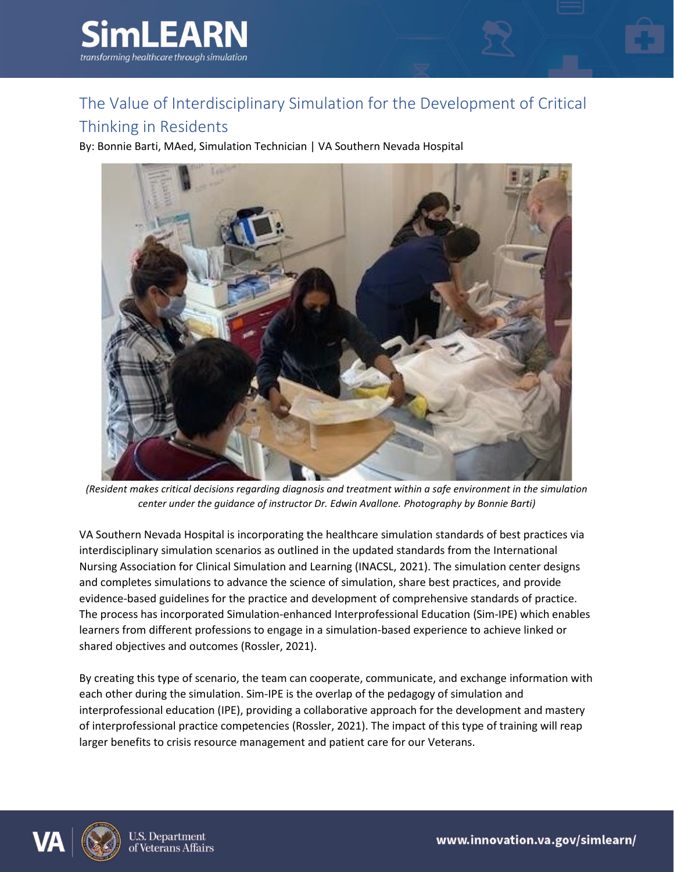

## The Value of Interdisciplinary Simulation for the Development of Critical

## Thinking in Residents

By: Bonnie Barti, MAed, Simulation Technician | VA Southern Nevada Hospital



*(Resident makes critical decisions regarding diagnosis and treatment within a safe environment in the simulation center under the guidance of instructor Dr. Edwin Avallone. Photography by Bonnie Barti)*

VA Southern Nevada Hospital is incorporating the healthcare simulation standards of best practices via interdisciplinary simulation scenarios as outlined in the updated standards from the International Nursing Association for Clinical Simulation and Learning (INACSL, 2021). The simulation center designs and completes simulations to advance the science of simulation, share best practices, and provide evidence-based guidelines for the practice and development of comprehensive standards of practice. The process has incorporated Simulation-enhanced Interprofessional Education (Sim-IPE) which enables learners from different professions to engage in a simulation-based experience to achieve linked or shared objectives and outcomes (Rossler, 2021).

By creating this type of scenario, the team can cooperate, communicate, and exchange information with each other during the simulation. Sim-IPE is the overlap of the pedagogy of simulation and interprofessional education (IPE), providing a collaborative approach for the development and mastery of interprofessional practice competencies (Rossler, 2021). The impact of this type of training will reap larger benefits to crisis resource management and patient care for our Veterans.

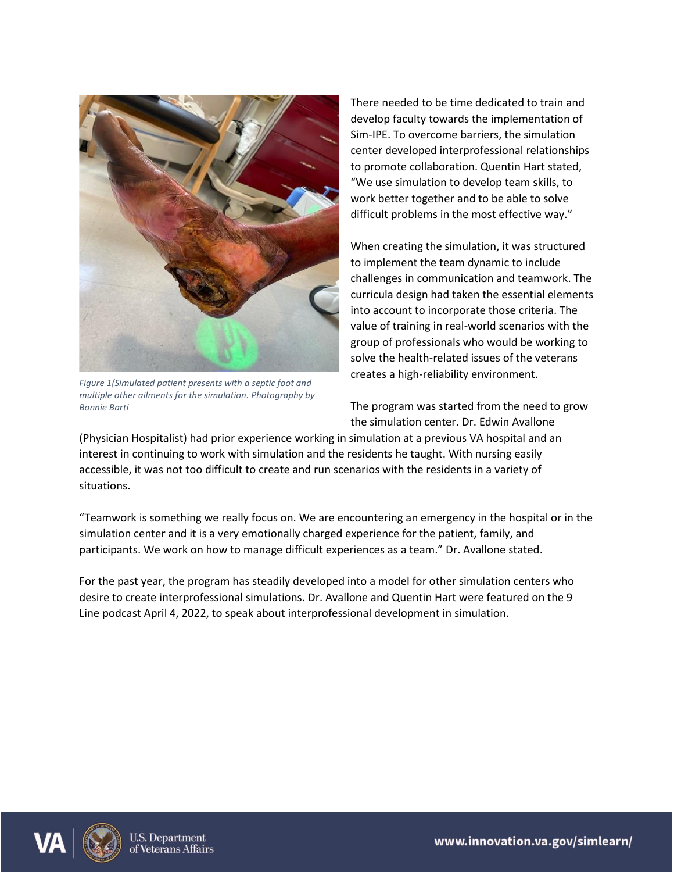

*Figure 1(Simulated patient presents with a septic foot and multiple other ailments for the simulation. Photography by Bonnie Barti*

There needed to be time dedicated to train and develop faculty towards the implementation of Sim-IPE. To overcome barriers, the simulation center developed interprofessional relationships to promote collaboration. Quentin Hart stated, "We use simulation to develop team skills, to work better together and to be able to solve difficult problems in the most effective way."

When creating the simulation, it was structured to implement the team dynamic to include challenges in communication and teamwork. The curricula design had taken the essential elements into account to incorporate those criteria. The value of training in real-world scenarios with the group of professionals who would be working to solve the health-related issues of the veterans creates a high-reliability environment.

The program was started from the need to grow the simulation center. Dr. Edwin Avallone

(Physician Hospitalist) had prior experience working in simulation at a previous VA hospital and an interest in continuing to work with simulation and the residents he taught. With nursing easily accessible, it was not too difficult to create and run scenarios with the residents in a variety of situations.

"Teamwork is something we really focus on. We are encountering an emergency in the hospital or in the simulation center and it is a very emotionally charged experience for the patient, family, and participants. We work on how to manage difficult experiences as a team." Dr. Avallone stated.

For the past year, the program has steadily developed into a model for other simulation centers who desire to create interprofessional simulations. Dr. Avallone and Quentin Hart were featured on the 9 Line podcast April 4, 2022, to speak about interprofessional development in simulation.



www.innovation.va.gov/simlearn/